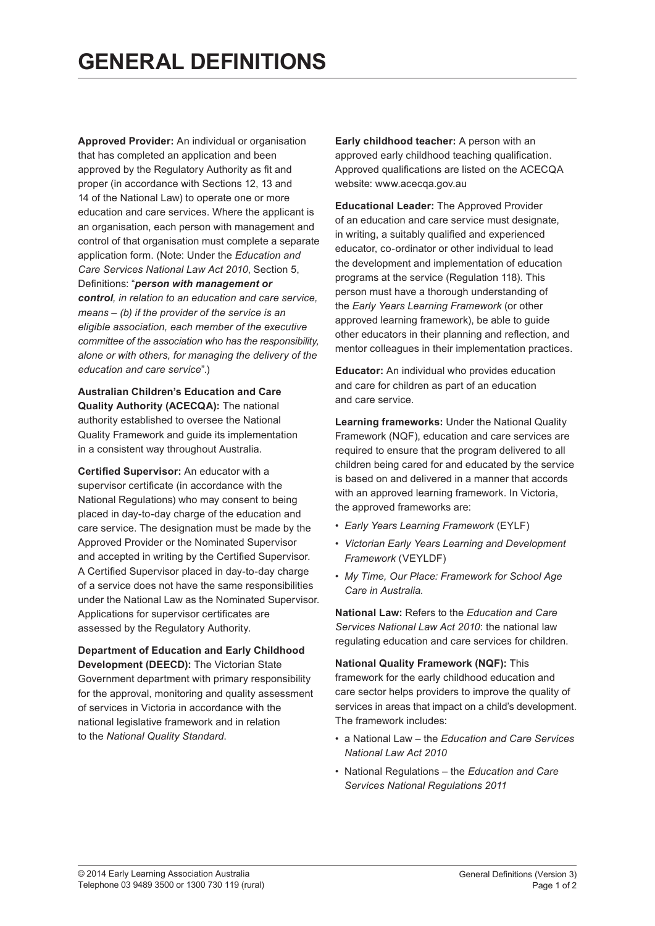**Approved Provider:** An individual or organisation that has completed an application and been approved by the Requlatory Authority as fit and proper (in accordance with Sections 12, 13 and 14 of the National Law) to operate one or more education and care services. Where the applicant is an organisation, each person with management and control of that organisation must complete a separate application form. (Note: Under the *Education and Care Services National Law Act 2010, Section 5,* Definitions: "person with management or *control,\*in\*relation\*to\*an\*education\*and\*care\*service,\* means – (b) if the provider of the service is an eligible\*association,\*each\*member\*of\*the\*executive\* committee of the association who has the responsibility, alone\*or\*with\*others,\*for\*managing\*the\*delivery\*of\*the\* education and care service*".)

**Australian'Children's'Education'and'Care' Quality Authority (ACECQA):** The national authority established to oversee the National Quality Framework and guide its implementation in a consistent way throughout Australia.

**Certified Supervisor:** An educator with a supervisor certificate (in accordance with the National Regulations) who may consent to being placed in day-to-day charge of the education and care service. The designation must be made by the Approved Provider or the Nominated Supervisor and accepted in writing by the Certified Supervisor. A Certified Supervisor placed in day-to-day charge of a service does not have the same responsibilities under the National Law as the Nominated Supervisor. Applications for supervisor certificates are assessed by the Regulatory Authority.

**Department'of'Education'and'Early'Childhood' Development (DEECD):** The Victorian State Government department with primary responsibility for the approval, monitoring and quality assessment of services in Victoria in accordance with the national legislative framework and in relation to the National Quality Standard.

**Early childhood teacher:** A person with an approved early childhood teaching qualification. Approved qualifications are listed on the ACECQA website: www.acecqa.gov.au

**Educational Leader: The Approved Provider** of an education and care service must designate. in writing, a suitably qualified and experienced educator, co-ordinator or other individual to lead the development and implementation of education programs at the service (Regulation 118). This person must have a thorough understanding of the *Early Years Learning Framework* (or other approved learning framework), be able to guide other educators in their planning and reflection, and mentor colleagues in their implementation practices.

**Educator:** An individual who provides education and care for children as part of an education and care service.

**Learning frameworks: Under the National Quality** Framework (NQF), education and care services are required to ensure that the program delivered to all children being cared for and educated by the service is based on and delivered in a manner that accords with an approved learning framework. In Victoria, the approved frameworks are:

- **Early Years Learning Framework (EYLF)**
- *Victorian\*Early\*Years\*Learning\*and\*Development Framework* (VEYLDF)
- *My\*Time,\*Our\*Place:\*Framework\*for\*School\*Age* Care in Australia.

**National Law: Refers to the** *Education and Care* Services National Law Act 2010: the national law regulating education and care services for children.

**National Quality Framework (NQF): This** framework for the early childhood education and care sector helps providers to improve the quality of services in areas that impact on a child's development. The framework includes:

- a National Law the *Education and Care Services National\*Law\*Act\*2010*
- National Requlations the *Education and Care Services\*National\*Regulations\*2011*